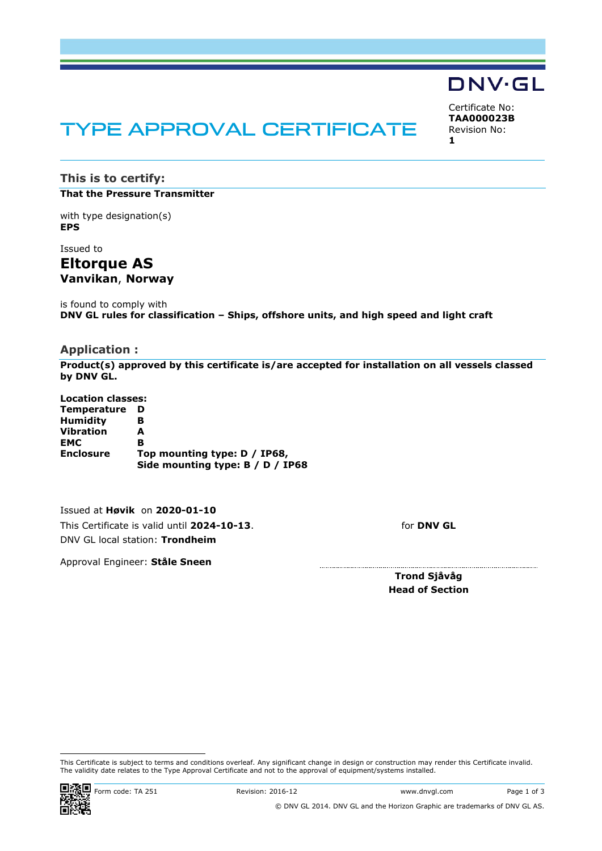# TYPE APPROVAL CERTIFICATE

<span id="page-0-2"></span><span id="page-0-1"></span><span id="page-0-0"></span>Certificate No: **TAA000023B** Revision No: **1**

**DNV·GL** 

**This is to certify: That the Pressure Transmitter**

with type designation(s) **EPS**

Issued to **Eltorque AS Vanvikan**, **Norway**

is found to comply with **DNV GL rules for classification – Ships, offshore units, and high speed and light craft**

#### **Application :**

**Product(s) approved by this certificate is/are accepted for installation on all vessels classed by DNV GL.**

**Location classes: Temperature D Humidity B Vibration A EMC B Enclosure Top mounting type: D / IP68, Side mounting type: B / D / IP68**

Issued at **Høvik** on **2020-01-10** This Certificate is valid until **2024-10-13**. DNV GL local station: **Trondheim**

for **DNV GL**

Approval Engineer: **Ståle Sneen**

**Trond Sjåvåg Head of Section**

This Certificate is subject to terms and conditions overleaf. Any significant change in design or construction may render this Certificate invalid. The validity date relates to the Type Approval Certificate and not to the approval of equipment/systems installed.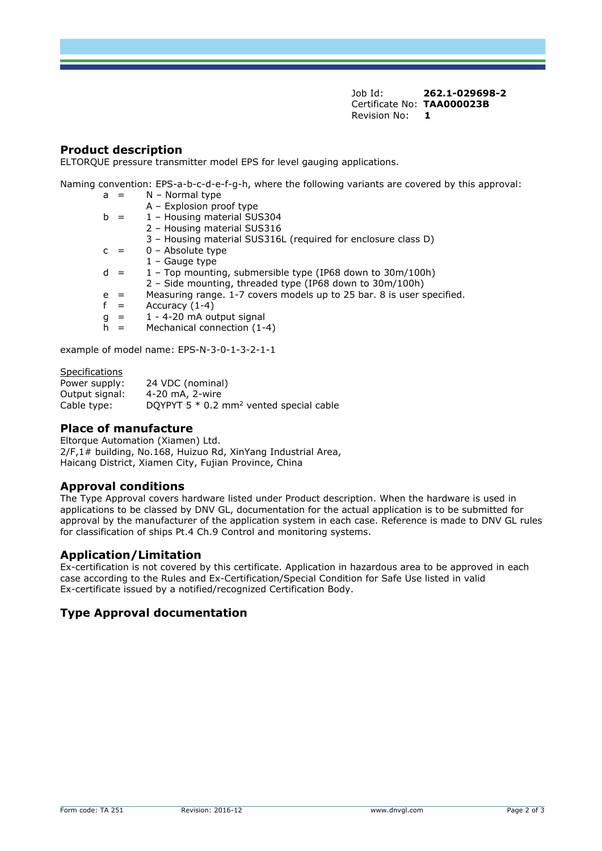Job Id: **262.1-029698-2**  Certificate No: **[TAA000023B](#page-0-0)** [Revision No:](#page-0-1) **[1](#page-0-2)** 

## **Product description**

ELTORQUE pressure transmitter model EPS for level gauging applications.

Naming convention: EPS-a-b-c-d-e-f-g-h, where the following variants are covered by this approval:

| a |     | $N - Normal type$                                                     |
|---|-----|-----------------------------------------------------------------------|
|   |     | A - Explosion proof type                                              |
|   |     | 1 - Housing material SUS304                                           |
|   |     | 2 - Housing material SUS316                                           |
|   |     | 3 - Housing material SUS316L (required for enclosure class D)         |
|   |     | $0 -$ Absolute type                                                   |
|   |     | $1 -$ Gauge type                                                      |
|   | - = | 1 - Top mounting, submersible type (IP68 down to 30m/100h)            |
|   |     | 2 - Side mounting, threaded type (IP68 down to 30m/100h)              |
| e | - = | Measuring range. 1-7 covers models up to 25 bar. 8 is user specified. |
|   | $=$ | Accuracy $(1-4)$                                                      |
| g | $=$ | 1 - 4-20 mA output signal                                             |
|   |     | Mechanical connection (1-4)                                           |

example of model name: EPS-N-3-0-1-3-2-1-1

Specifications

| Power supply:  | 24 VDC (nominal)                                      |
|----------------|-------------------------------------------------------|
| Output signal: | 4-20 mA, 2-wire                                       |
| Cable type:    | DQYPYT $5 * 0.2$ mm <sup>2</sup> vented special cable |

#### **Place of manufacture**

Eltorque Automation (Xiamen) Ltd. 2/F,1# building, No.168, Huizuo Rd, XinYang Industrial Area, Haicang District, Xiamen City, Fujian Province, China

### **Approval conditions**

The Type Approval covers hardware listed under Product description. When the hardware is used in applications to be classed by DNV GL, documentation for the actual application is to be submitted for approval by the manufacturer of the application system in each case. Reference is made to DNV GL rules for classification of ships Pt.4 Ch.9 Control and monitoring systems.

### **Application/Limitation**

Ex-certification is not covered by this certificate. Application in hazardous area to be approved in each case according to the Rules and Ex-Certification/Special Condition for Safe Use listed in valid Ex-certificate issued by a notified/recognized Certification Body.

### **Type Approval documentation**